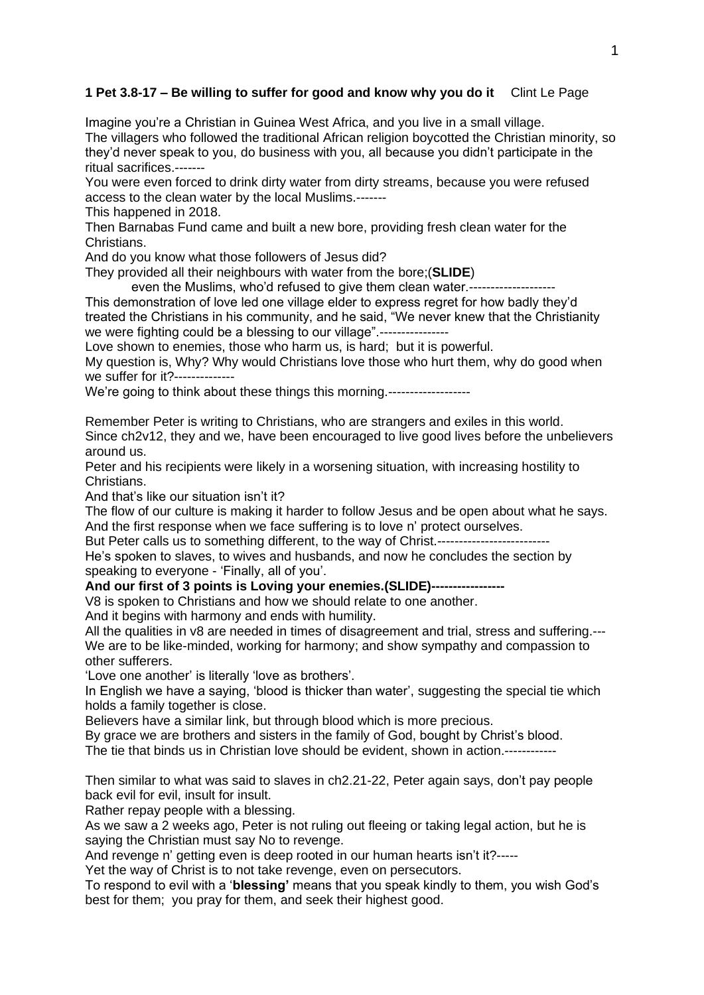## **1 Pet 3.8-17 – Be willing to suffer for good and know why you do it** Clint Le Page

Imagine you're a Christian in Guinea West Africa, and you live in a small village. The villagers who followed the traditional African religion boycotted the Christian minority, so they'd never speak to you, do business with you, all because you didn't participate in the ritual sacrifices.-------

You were even forced to drink dirty water from dirty streams, because you were refused access to the clean water by the local Muslims.-------

This happened in 2018.

Then Barnabas Fund came and built a new bore, providing fresh clean water for the Christians.

And do you know what those followers of Jesus did?

They provided all their neighbours with water from the bore;(**SLIDE**)

even the Muslims, who'd refused to give them clean water.--------------------

This demonstration of love led one village elder to express regret for how badly they'd treated the Christians in his community, and he said, "We never knew that the Christianity we were fighting could be a blessing to our village".-----------------

Love shown to enemies, those who harm us, is hard; but it is powerful.

My question is, Why? Why would Christians love those who hurt them, why do good when we suffer for it?--------------

We're going to think about these things this morning.-------------------

Remember Peter is writing to Christians, who are strangers and exiles in this world. Since ch2v12, they and we, have been encouraged to live good lives before the unbelievers around us.

Peter and his recipients were likely in a worsening situation, with increasing hostility to Christians.

And that's like our situation isn't it?

The flow of our culture is making it harder to follow Jesus and be open about what he says. And the first response when we face suffering is to love n' protect ourselves.

But Peter calls us to something different, to the way of Christ.------------------------

He's spoken to slaves, to wives and husbands, and now he concludes the section by speaking to everyone - 'Finally, all of you'.

And our first of 3 points is Loving your enemies. (SLIDE)----

V8 is spoken to Christians and how we should relate to one another.

And it begins with harmony and ends with humility.

All the qualities in v8 are needed in times of disagreement and trial, stress and suffering.--- We are to be like-minded, working for harmony; and show sympathy and compassion to other sufferers.

'Love one another' is literally 'love as brothers'.

In English we have a saying, 'blood is thicker than water', suggesting the special tie which holds a family together is close.

Believers have a similar link, but through blood which is more precious.

By grace we are brothers and sisters in the family of God, bought by Christ's blood. The tie that binds us in Christian love should be evident, shown in action.------------

Then similar to what was said to slaves in ch2.21-22, Peter again says, don't pay people back evil for evil, insult for insult.

Rather repay people with a blessing.

As we saw a 2 weeks ago, Peter is not ruling out fleeing or taking legal action, but he is saying the Christian must say No to revenge.

And revenge n' getting even is deep rooted in our human hearts isn't it?-----

Yet the way of Christ is to not take revenge, even on persecutors.

To respond to evil with a '**blessing'** means that you speak kindly to them, you wish God's best for them; you pray for them, and seek their highest good.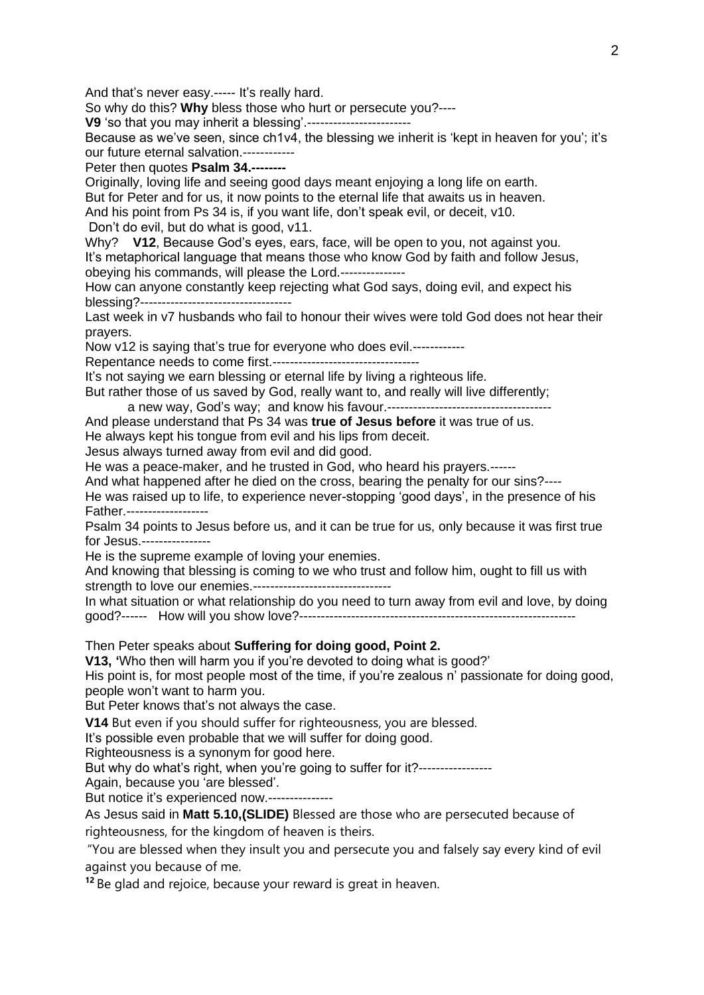And that's never easy.----- It's really hard.

So why do this? **Why** bless those who hurt or persecute you?----

**V9** 'so that you may inherit a blessing'.------------------------

Because as we've seen, since ch1v4, the blessing we inherit is 'kept in heaven for you'; it's our future eternal salvation.------------

Peter then quotes **Psalm 34.--------**

Originally, loving life and seeing good days meant enjoying a long life on earth.

But for Peter and for us, it now points to the eternal life that awaits us in heaven.

And his point from Ps 34 is, if you want life, don't speak evil, or deceit, v10.

Don't do evil, but do what is good, v11.

Why? **V12**, Because God's eyes, ears, face, will be open to you, not against you. It's metaphorical language that means those who know God by faith and follow Jesus, obeying his commands, will please the Lord.---------------

How can anyone constantly keep rejecting what God says, doing evil, and expect his blessing?-----------------------------------

Last week in v7 husbands who fail to honour their wives were told God does not hear their prayers.

Now v12 is saying that's true for everyone who does evil.------------

Repentance needs to come first.----------------------------------

It's not saying we earn blessing or eternal life by living a righteous life.

But rather those of us saved by God, really want to, and really will live differently;

a new way, God's way; and know his favour.-------------------------------------- And please understand that Ps 34 was **true of Jesus before** it was true of us.

He always kept his tongue from evil and his lips from deceit.

Jesus always turned away from evil and did good.

He was a peace-maker, and he trusted in God, who heard his prayers.------

And what happened after he died on the cross, bearing the penalty for our sins?----

He was raised up to life, to experience never-stopping 'good days', in the presence of his Father.-------------------

Psalm 34 points to Jesus before us, and it can be true for us, only because it was first true for Jesus.----------------

He is the supreme example of loving your enemies.

And knowing that blessing is coming to we who trust and follow him, ought to fill us with strength to love our enemies.--------------------------------

In what situation or what relationship do you need to turn away from evil and love, by doing good?------ How will you show love?----------------------------------------------------------------

Then Peter speaks about **Suffering for doing good, Point 2.**

**V13, '**Who then will harm you if you're devoted to doing what is good?'

His point is, for most people most of the time, if you're zealous n' passionate for doing good, people won't want to harm you.

But Peter knows that's not always the case.

**V14** But even if you should suffer for righteousness, you are blessed.

It's possible even probable that we will suffer for doing good.

Righteousness is a synonym for good here.

But why do what's right, when you're going to suffer for it?-----------------

Again, because you 'are blessed'.

But notice it's experienced now.---------------

As Jesus said in **Matt 5.10,(SLIDE)** Blessed are those who are persecuted because of righteousness, for the kingdom of heaven is theirs.

"You are blessed when they insult you and persecute you and falsely say every kind of evil against you because of me.

**<sup>12</sup>** Be glad and rejoice, because your reward is great in heaven.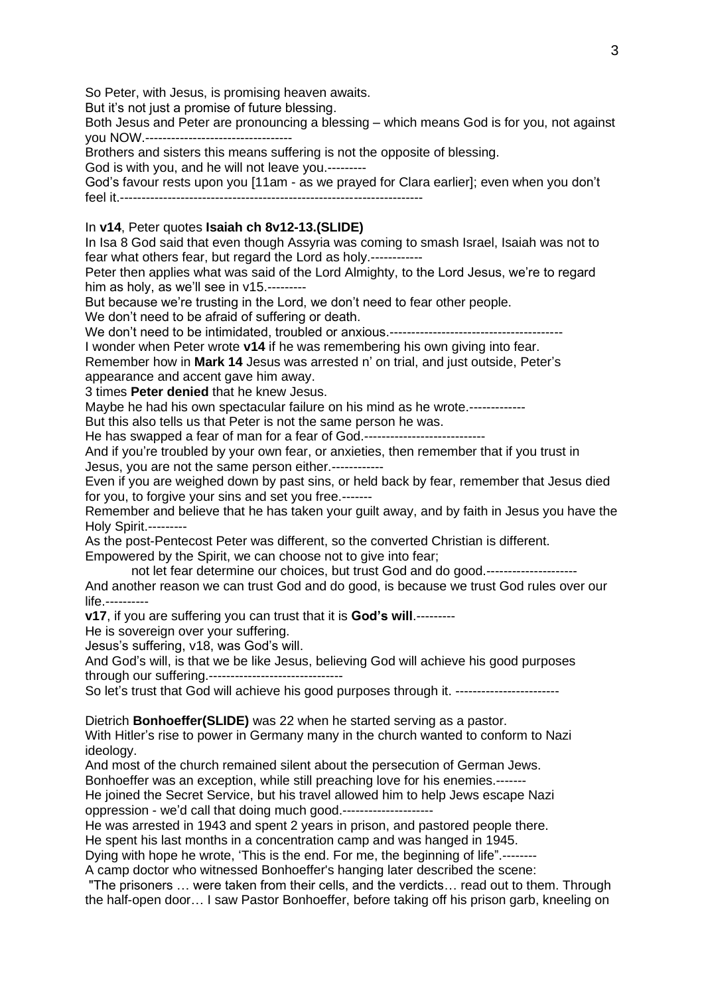So Peter, with Jesus, is promising heaven awaits.

But it's not just a promise of future blessing.

Both Jesus and Peter are pronouncing a blessing – which means God is for you, not against you NOW.----------------------------------

Brothers and sisters this means suffering is not the opposite of blessing.

God is with you, and he will not leave you.---------

God's favour rests upon you [11am - as we prayed for Clara earlier]; even when you don't feel it.----------------------------------------------------------------------

## In **v14**, Peter quotes **Isaiah ch 8v12-13.(SLIDE)**

In Isa 8 God said that even though Assyria was coming to smash Israel, Isaiah was not to fear what others fear, but regard the Lord as holy.------------

Peter then applies what was said of the Lord Almighty, to the Lord Jesus, we're to regard him as holy, as we'll see in v15.---------

But because we're trusting in the Lord, we don't need to fear other people.

We don't need to be afraid of suffering or death.

We don't need to be intimidated, troubled or anxious.----------------------------------------

I wonder when Peter wrote **v14** if he was remembering his own giving into fear.

Remember how in **Mark 14** Jesus was arrested n' on trial, and just outside, Peter's appearance and accent gave him away.

3 times **Peter denied** that he knew Jesus.

Maybe he had his own spectacular failure on his mind as he wrote.--------------

But this also tells us that Peter is not the same person he was.

He has swapped a fear of man for a fear of God.---------------------------------

And if you're troubled by your own fear, or anxieties, then remember that if you trust in Jesus, you are not the same person either.------------

Even if you are weighed down by past sins, or held back by fear, remember that Jesus died for you, to forgive your sins and set you free.-------

Remember and believe that he has taken your guilt away, and by faith in Jesus you have the Holy Spirit.---------

As the post-Pentecost Peter was different, so the converted Christian is different. Empowered by the Spirit, we can choose not to give into fear;

not let fear determine our choices, but trust God and do good.---------------------

And another reason we can trust God and do good, is because we trust God rules over our life.----------

**v17**, if you are suffering you can trust that it is **God's will**.---------

He is sovereign over your suffering.

Jesus's suffering, v18, was God's will.

And God's will, is that we be like Jesus, believing God will achieve his good purposes through our suffering.-------------------------------

So let's trust that God will achieve his good purposes through it. -------------------------

Dietrich **Bonhoeffer(SLIDE)** was 22 when he started serving as a pastor.

With Hitler's rise to power in Germany many in the church wanted to conform to Nazi ideology.

And most of the church remained silent about the persecution of German Jews.

Bonhoeffer was an exception, while still preaching love for his enemies.-------

He joined the Secret Service, but his travel allowed him to help Jews escape Nazi oppression - we'd call that doing much good.---------------------

He was arrested in 1943 and spent 2 years in prison, and pastored people there.

He spent his last months in a concentration camp and was hanged in 1945.

Dying with hope he wrote, 'This is the end. For me, the beginning of life".--------

A camp doctor who witnessed Bonhoeffer's hanging later described the scene:

"The prisoners … were taken from their cells, and the verdicts… read out to them. Through the half-open door… I saw Pastor Bonhoeffer, before taking off his prison garb, kneeling on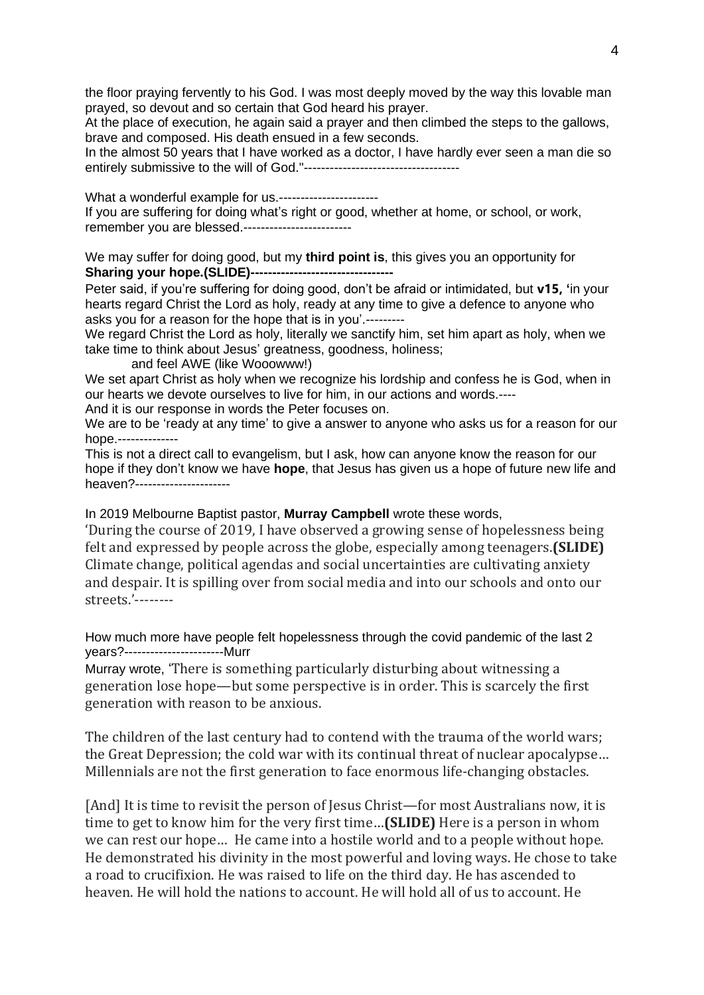the floor praying fervently to his God. I was most deeply moved by the way this lovable man prayed, so devout and so certain that God heard his prayer.

At the place of execution, he again said a prayer and then climbed the steps to the gallows, brave and composed. His death ensued in a few seconds.

In the almost 50 years that I have worked as a doctor, I have hardly ever seen a man die so entirely submissive to the will of God."------------------------------------

What a wonderful example for us.------------------------If you are suffering for doing what's right or good, whether at home, or school, or work, remember you are blessed.-------------------------

We may suffer for doing good, but my **third point is**, this gives you an opportunity for **Sharing your hope.(SLIDE)---------------------------------**

Peter said, if you're suffering for doing good, don't be afraid or intimidated, but **v15, '**in your hearts regard Christ the Lord as holy, ready at any time to give a defence to anyone who asks you for a reason for the hope that is in you'.---------

We regard Christ the Lord as holy, literally we sanctify him, set him apart as holy, when we take time to think about Jesus' greatness, goodness, holiness;

and feel AWE (like Wooowww!)

We set apart Christ as holy when we recognize his lordship and confess he is God, when in our hearts we devote ourselves to live for him, in our actions and words.---- And it is our response in words the Peter focuses on.

We are to be 'ready at any time' to give a answer to anyone who asks us for a reason for our hope.--------------

This is not a direct call to evangelism, but I ask, how can anyone know the reason for our hope if they don't know we have **hope**, that Jesus has given us a hope of future new life and heaven?----------------------

In 2019 Melbourne Baptist pastor, **Murray Campbell** wrote these words,

'During the course of 2019, I have observed a growing sense of hopelessness being felt and expressed by people across the globe, especially among teenagers.**(SLIDE)** Climate change, political agendas and social uncertainties are cultivating anxiety and despair. It is spilling over from social media and into our schools and onto our streets.'--------

How much more have people felt hopelessness through the covid pandemic of the last 2 years?-----------------------Murr

Murray wrote, 'There is something particularly disturbing about witnessing a generation lose hope—but some perspective is in order. This is scarcely the first generation with reason to be anxious.

The children of the last century had to contend with the trauma of the world wars; the Great Depression; the cold war with its continual threat of nuclear apocalypse… Millennials are not the first generation to face enormous life-changing obstacles.

[And] It is time to revisit the person of Jesus Christ—for most Australians now, it is time to get to know him for the very first time…**(SLIDE)** Here is a person in whom we can rest our hope… He came into a hostile world and to a people without hope. He demonstrated his divinity in the most powerful and loving ways. He chose to take a road to crucifixion. He was raised to life on the third day. He has ascended to heaven. He will hold the nations to account. He will hold all of us to account. He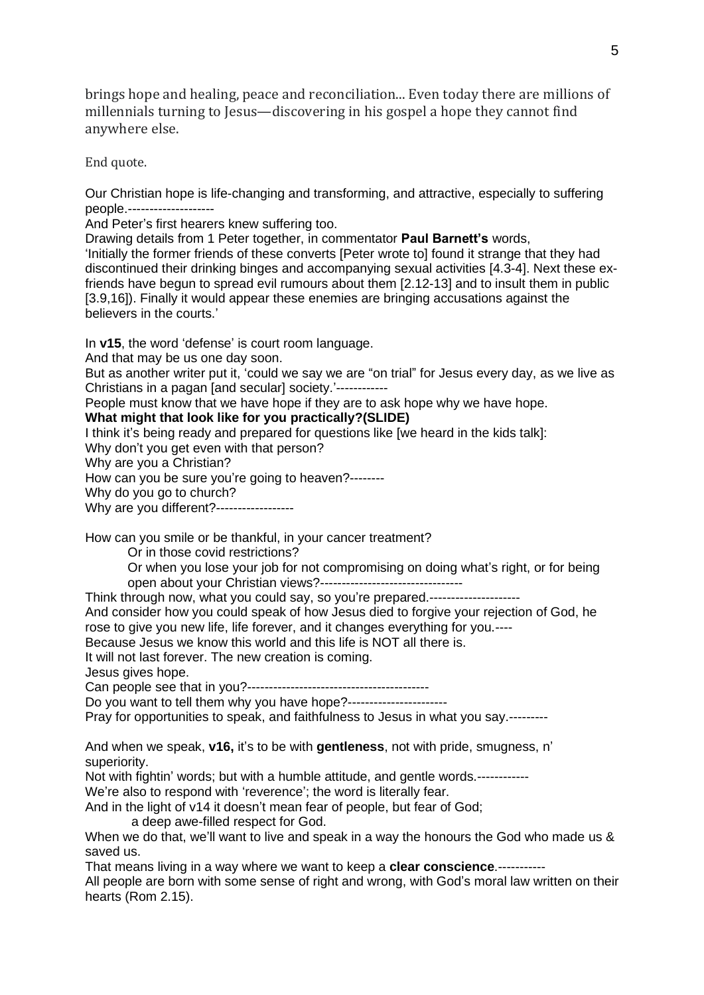brings hope and healing, peace and reconciliation... Even today there are millions of millennials turning to Jesus—discovering in his gospel a hope they cannot find anywhere else.

End quote.

Our Christian hope is life-changing and transforming, and attractive, especially to suffering people.--------------------

And Peter's first hearers knew suffering too.

Drawing details from 1 Peter together, in commentator **Paul Barnett's** words, 'Initially the former friends of these converts [Peter wrote to] found it strange that they had discontinued their drinking binges and accompanying sexual activities [4.3-4]. Next these exfriends have begun to spread evil rumours about them [2.12-13] and to insult them in public [3.9,16]). Finally it would appear these enemies are bringing accusations against the believers in the courts.'

In **v15**, the word 'defense' is court room language.

And that may be us one day soon.

But as another writer put it, 'could we say we are "on trial" for Jesus every day, as we live as Christians in a pagan [and secular] society.'------------

People must know that we have hope if they are to ask hope why we have hope.

**What might that look like for you practically?(SLIDE)**

I think it's being ready and prepared for questions like [we heard in the kids talk]:

Why don't you get even with that person?

Why are you a Christian?

How can you be sure you're going to heaven?--------

Why do you go to church?

Why are you different?------------------

How can you smile or be thankful, in your cancer treatment?

Or in those covid restrictions?

Or when you lose your job for not compromising on doing what's right, or for being open about your Christian views?---------------------------------

Think through now, what you could say, so you're prepared.---------------------

And consider how you could speak of how Jesus died to forgive your rejection of God, he rose to give you new life, life forever, and it changes everything for you.----

Because Jesus we know this world and this life is NOT all there is.

It will not last forever. The new creation is coming.

Jesus gives hope.

Can people see that in you?------------------------------------------

Do you want to tell them why you have hope?-----------------------

Pray for opportunities to speak, and faithfulness to Jesus in what you say.--------

And when we speak, **v16,** it's to be with **gentleness**, not with pride, smugness, n' superiority.

Not with fightin' words; but with a humble attitude, and gentle words.------------

We're also to respond with 'reverence'; the word is literally fear.

And in the light of v14 it doesn't mean fear of people, but fear of God;

a deep awe-filled respect for God.

When we do that, we'll want to live and speak in a way the honours the God who made us & saved us.

That means living in a way where we want to keep a **clear conscience**.-----------

All people are born with some sense of right and wrong, with God's moral law written on their hearts (Rom 2.15).